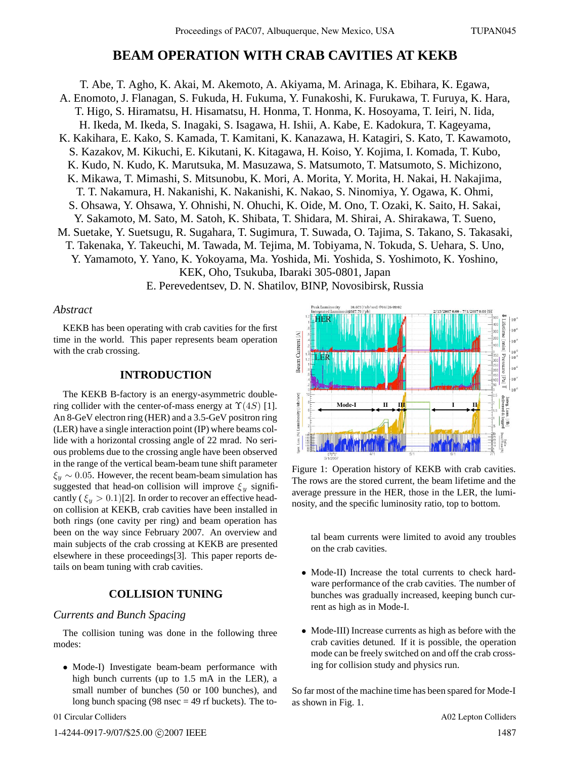# **BEAM OPERATION WITH CRAB CAVITIES AT KEKB**

T. Abe, T. Agho, K. Akai, M. Akemoto, A. Akiyama, M. Arinaga, K. Ebihara, K. Egawa, A. Enomoto, J. Flanagan, S. Fukuda, H. Fukuma, Y. Funakoshi, K. Furukawa, T. Furuya, K. Hara, T. Higo, S. Hiramatsu, H. Hisamatsu, H. Honma, T. Honma, K. Hosoyama, T. Ieiri, N. Iida, H. Ikeda, M. Ikeda, S. Inagaki, S. Isagawa, H. Ishii, A. Kabe, E. Kadokura, T. Kageyama, K. Kakihara, E. Kako, S. Kamada, T. Kamitani, K. Kanazawa, H. Katagiri, S. Kato, T. Kawamoto, S. Kazakov, M. Kikuchi, E. Kikutani, K. Kitagawa, H. Koiso, Y. Kojima, I. Komada, T. Kubo, K. Kudo, N. Kudo, K. Marutsuka, M. Masuzawa, S. Matsumoto, T. Matsumoto, S. Michizono, K. Mikawa, T. Mimashi, S. Mitsunobu, K. Mori, A. Morita, Y. Morita, H. Nakai, H. Nakajima, T. T. Nakamura, H. Nakanishi, K. Nakanishi, K. Nakao, S. Ninomiya, Y. Ogawa, K. Ohmi, S. Ohsawa, Y. Ohsawa, Y. Ohnishi, N. Ohuchi, K. Oide, M. Ono, T. Ozaki, K. Saito, H. Sakai, Y. Sakamoto, M. Sato, M. Satoh, K. Shibata, T. Shidara, M. Shirai, A. Shirakawa, T. Sueno, M. Suetake, Y. Suetsugu, R. Sugahara, T. Sugimura, T. Suwada, O. Tajima, S. Takano, S. Takasaki, T. Takenaka, Y. Takeuchi, M. Tawada, M. Tejima, M. Tobiyama, N. Tokuda, S. Uehara, S. Uno, Y. Yamamoto, Y. Yano, K. Yokoyama, Ma. Yoshida, Mi. Yoshida, S. Yoshimoto, K. Yoshino, KEK, Oho, Tsukuba, Ibaraki 305-0801, Japan E. Perevedentsev, D. N. Shatilov, BINP, Novosibirsk, Russia

### *Abstract*

KEKB has been operating with crab cavities for the first time in the world. This paper represents beam operation with the crab crossing.

#### **INTRODUCTION**

The KEKB B-factory is an energy-asymmetric doublering collider with the center-of-mass energy at  $\Upsilon(4S)$  [1]. An 8-GeV electron ring (HER) and a 3.5-GeV positron ring (LER) have a single interaction point (IP) where beams collide with a horizontal crossing angle of 22 mrad. No serious problems due to the crossing angle have been observed in the range of the vertical beam-beam tune shift parameter  $\xi_y \sim 0.05$ . However, the recent beam-beam simulation has suggested that head-on collision will improve  $\xi_y$  significantly  $(\xi_y > 0.1)$ [2]. In order to recover an effective headon collision at KEKB, crab cavities have been installed in both rings (one cavity per ring) and beam operation has been on the way since February 2007. An overview and main subjects of the crab crossing at KEKB are presented elsewhere in these proceedings[3]. This paper reports details on beam tuning with crab cavities.

## **COLLISION TUNING**

## *Currents and Bunch Spacing*

The collision tuning was done in the following three modes:

• Mode-I) Investigate beam-beam performance with high bunch currents (up to 1.5 mA in the LER), a small number of bunches (50 or 100 bunches), and long bunch spacing (98 nsec = 49 rf buckets). The to-

01 Circular Colliders



Figure 1: Operation history of KEKB with crab cavities. The rows are the stored current, the beam lifetime and the average pressure in the HER, those in the LER, the luminosity, and the specific luminosity ratio, top to bottom.

tal beam currents were limited to avoid any troubles on the crab cavities.

- Mode-II) Increase the total currents to check hardware performance of the crab cavities. The number of bunches was gradually increased, keeping bunch current as high as in Mode-I.
- Mode-III) Increase currents as high as before with the crab cavities detuned. If it is possible, the operation mode can be freely switched on and off the crab crossing for collision study and physics run.

So far most of the machine time has been spared for Mode-I as shown in Fig. 1.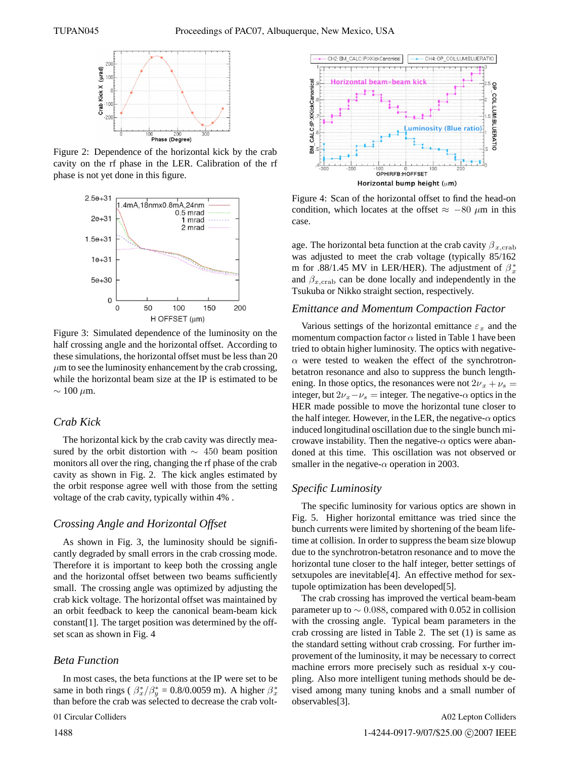

Figure 2: Dependence of the horizontal kick by the crab cavity on the rf phase in the LER. Calibration of the rf phase is not yet done in this figure.



Figure 3: Simulated dependence of the luminosity on the half crossing angle and the horizontal offset. According to these simulations, the horizontal offset must be less than 20  $\mu$ m to see the luminosity enhancement by the crab crossing, while the horizontal beam size at the IP is estimated to be  $\sim 100 \ \mu \text{m}$ .

#### *Crab Kick*

The horizontal kick by the crab cavity was directly measured by the orbit distortion with  $\sim$  450 beam position monitors all over the ring, changing the rf phase of the crab cavity as shown in Fig. 2. The kick angles estimated by the orbit response agree well with those from the setting voltage of the crab cavity, typically within 4% .

### *Crossing Angle and Horizontal Offset*

As shown in Fig. 3, the luminosity should be significantly degraded by small errors in the crab crossing mode. Therefore it is important to keep both the crossing angle and the horizontal offset between two beams sufficiently small. The crossing angle was optimized by adjusting the crab kick voltage. The horizontal offset was maintained by an orbit feedback to keep the canonical beam-beam kick constant[1]. The target position was determined by the offset scan as shown in Fig. 4

#### *Beta Function*

In most cases, the beta functions at the IP were set to be same in both rings ( $\beta_x^*/\beta_y^* = 0.8/0.0059$  m). A higher  $\beta_x^*$ than before the crab was selected to decrease the crab volt-



Figure 4: Scan of the horizontal offset to find the head-on condition, which locates at the offset  $\approx -80 \ \mu m$  in this case.

age. The horizontal beta function at the crab cavity  $\beta_{x,\text{crab}}$ was adjusted to meet the crab voltage (typically 85/162 m for .88/1.45 MV in LER/HER). The adjustment of  $\beta_x^*$ and  $\beta_{x,\text{crab}}$  can be done locally and independently in the Tsukuba or Nikko straight section, respectively.

#### *Emittance and Momentum Compaction Factor*

Various settings of the horizontal emittance  $\varepsilon_x$  and the momentum compaction factor  $\alpha$  listed in Table 1 have been tried to obtain higher luminosity. The optics with negative- $\alpha$  were tested to weaken the effect of the synchrotronbetatron resonance and also to suppress the bunch lengthening. In those optics, the resonances were not  $2v_x + v_s =$ integer, but  $2v_x - v_s =$  integer. The negative- $\alpha$  optics in the HER made possible to move the horizontal tune closer to the half integer. However, in the LER, the negative- $\alpha$  optics induced longitudinal oscillation due to the single bunch microwave instability. Then the negative- $\alpha$  optics were abandoned at this time. This oscillation was not observed or smaller in the negative- $\alpha$  operation in 2003.

#### *Specific Luminosity*

The specific luminosity for various optics are shown in Fig. 5. Higher horizontal emittance was tried since the bunch currents were limited by shortening of the beam lifetime at collision. In order to suppress the beam size blowup due to the synchrotron-betatron resonance and to move the horizontal tune closer to the half integer, better settings of setxupoles are inevitable[4]. An effective method for sextupole optimization has been developed[5].

The crab crossing has improved the vertical beam-beam parameter up to  $\sim 0.088$ , compared with 0.052 in collision with the crossing angle. Typical beam parameters in the crab crossing are listed in Table 2. The set (1) is same as the standard setting without crab crossing. For further improvement of the luminosity, it may be necessary to correct machine errors more precisely such as residual x-y coupling. Also more intelligent tuning methods should be devised among many tuning knobs and a small number of observables[3].